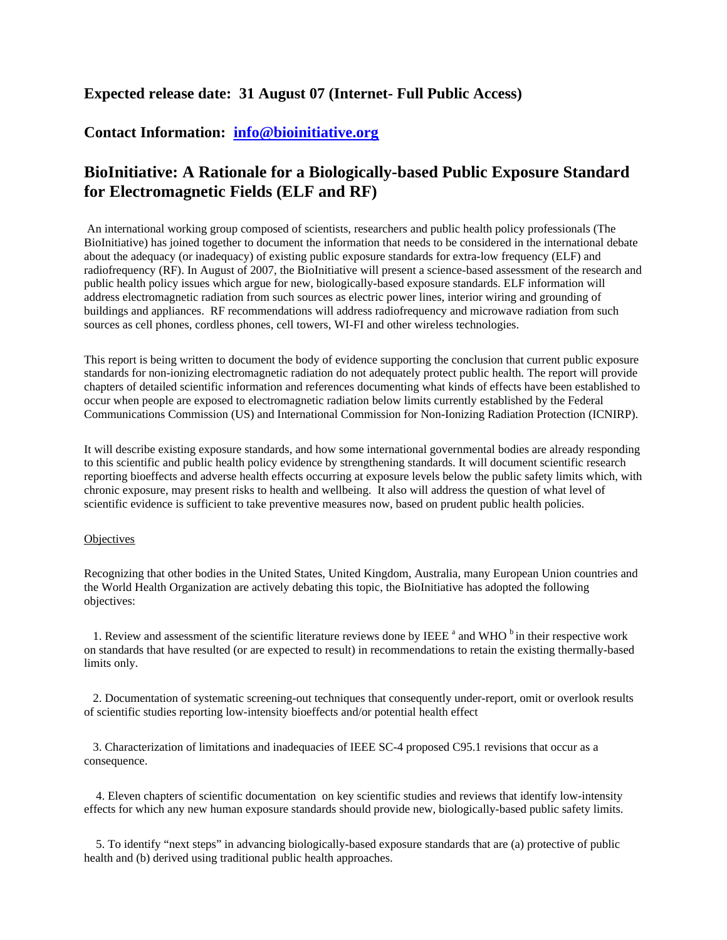## **Expected release date: 31 August 07 (Internet- Full Public Access)**

## **Contact Information: [info@bioinitiative.org](mailto:info@bioinitiative.org)**

## **BioInitiative: A Rationale for a Biologically-based Public Exposure Standard for Electromagnetic Fields (ELF and RF)**

 An international working group composed of scientists, researchers and public health policy professionals (The BioInitiative) has joined together to document the information that needs to be considered in the international debate about the adequacy (or inadequacy) of existing public exposure standards for extra-low frequency (ELF) and radiofrequency (RF). In August of 2007, the BioInitiative will present a science-based assessment of the research and public health policy issues which argue for new, biologically-based exposure standards. ELF information will address electromagnetic radiation from such sources as electric power lines, interior wiring and grounding of buildings and appliances. RF recommendations will address radiofrequency and microwave radiation from such sources as cell phones, cordless phones, cell towers, WI-FI and other wireless technologies.

This report is being written to document the body of evidence supporting the conclusion that current public exposure standards for non-ionizing electromagnetic radiation do not adequately protect public health. The report will provide chapters of detailed scientific information and references documenting what kinds of effects have been established to occur when people are exposed to electromagnetic radiation below limits currently established by the Federal Communications Commission (US) and International Commission for Non-Ionizing Radiation Protection (ICNIRP).

It will describe existing exposure standards, and how some international governmental bodies are already responding to this scientific and public health policy evidence by strengthening standards. It will document scientific research reporting bioeffects and adverse health effects occurring at exposure levels below the public safety limits which, with chronic exposure, may present risks to health and wellbeing. It also will address the question of what level of scientific evidence is sufficient to take preventive measures now, based on prudent public health policies.

## **Objectives**

Recognizing that other bodies in the United States, United Kingdom, Australia, many European Union countries and the World Health Organization are actively debating this topic, the BioInitiative has adopted the following objectives:

1. Review and assessment of the scientific literature reviews done by IEEE  $^{\text{a}}$  and WHO  $^{\text{b}}$  in their respective work on standards that have resulted (or are expected to result) in recommendations to retain the existing thermally-based limits only.

 2. Documentation of systematic screening-out techniques that consequently under-report, omit or overlook results of scientific studies reporting low-intensity bioeffects and/or potential health effect

 3. Characterization of limitations and inadequacies of IEEE SC-4 proposed C95.1 revisions that occur as a consequence.

 4. Eleven chapters of scientific documentation on key scientific studies and reviews that identify low-intensity effects for which any new human exposure standards should provide new, biologically-based public safety limits.

 5. To identify "next steps" in advancing biologically-based exposure standards that are (a) protective of public health and (b) derived using traditional public health approaches.